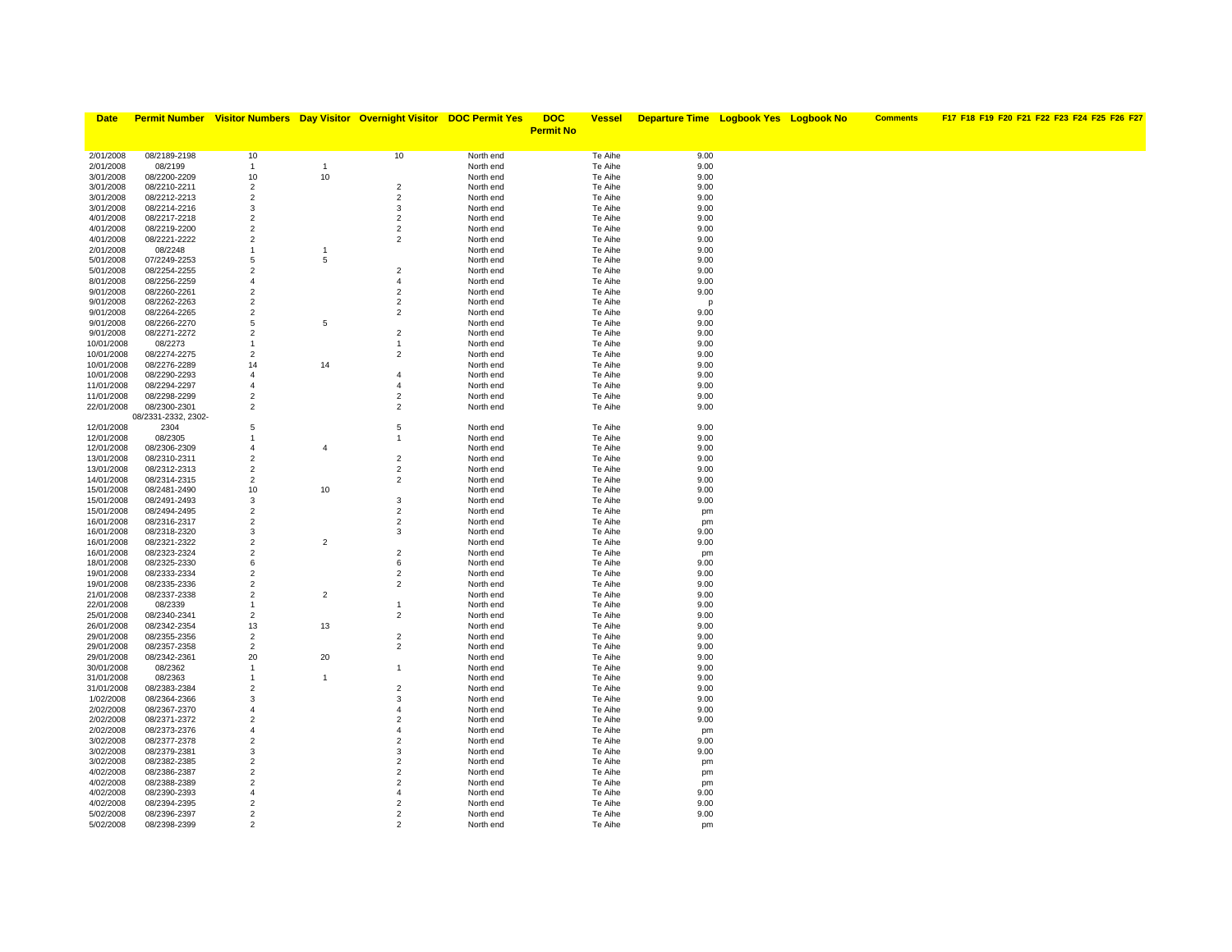| <b>Date</b>              |                              |                                  |                | Permit Number Visitor Numbers Day Visitor Overnight Visitor DOC Permit Yes |                        | <b>DOC</b>       | <u>Vessel</u>      | <b>Departure Time Logbook Yes Logbook No</b> |  | <b>Comments</b> | F17 F18 F19 F20 F21 F22 F23 F24 F25 F26 F27 |
|--------------------------|------------------------------|----------------------------------|----------------|----------------------------------------------------------------------------|------------------------|------------------|--------------------|----------------------------------------------|--|-----------------|---------------------------------------------|
|                          |                              |                                  |                |                                                                            |                        | <b>Permit No</b> |                    |                                              |  |                 |                                             |
|                          |                              |                                  |                |                                                                            |                        |                  |                    |                                              |  |                 |                                             |
| 2/01/2008                | 08/2189-2198                 | 10                               |                | 10                                                                         | North end              |                  | Te Aihe            | 9.00                                         |  |                 |                                             |
| 2/01/2008                | 08/2199                      | $\mathbf{1}$                     | $\mathbf{1}$   |                                                                            | North end              |                  | Te Aihe            | 9.00                                         |  |                 |                                             |
| 3/01/2008                | 08/2200-2209                 | 10                               | $10$           |                                                                            | North end              |                  | Te Aihe            | 9.00                                         |  |                 |                                             |
| 3/01/2008                | 08/2210-2211                 | $\overline{2}$                   |                | $\overline{2}$                                                             | North end              |                  | Te Aihe            | 9.00                                         |  |                 |                                             |
| 3/01/2008                | 08/2212-2213                 | $\overline{2}$                   |                | $\overline{2}$                                                             | North end              |                  | Te Aihe            | 9.00                                         |  |                 |                                             |
| 3/01/2008                | 08/2214-2216                 | 3                                |                | $\mathbf{3}$                                                               | North end              |                  | Te Aihe            | 9.00                                         |  |                 |                                             |
| 4/01/2008                | 08/2217-2218                 | $\overline{2}$<br>$\overline{2}$ |                | $\overline{2}$                                                             | North end              |                  | Te Aihe            | 9.00                                         |  |                 |                                             |
| 4/01/2008<br>4/01/2008   | 08/2219-2200<br>08/2221-2222 | $\overline{2}$                   |                | $\overline{2}$<br>$\overline{2}$                                           | North end<br>North end |                  | Te Aihe<br>Te Aihe | 9.00<br>9.00                                 |  |                 |                                             |
| 2/01/2008                | 08/2248                      | $\mathbf{1}$                     |                |                                                                            | North end              |                  | Te Aihe            | 9.00                                         |  |                 |                                             |
| 5/01/2008                | 07/2249-2253                 | 5                                | 5              |                                                                            | North end              |                  | Te Aihe            | 9.00                                         |  |                 |                                             |
| 5/01/2008                | 08/2254-2255                 | $\overline{2}$                   |                | $\overline{2}$                                                             | North end              |                  | Te Aihe            | 9.00                                         |  |                 |                                             |
| 8/01/2008                | 08/2256-2259                 | $\overline{4}$                   |                | $\overline{4}$                                                             | North end              |                  | Te Aihe            | 9.00                                         |  |                 |                                             |
| 9/01/2008                | 08/2260-2261                 | $\overline{2}$                   |                | $\overline{2}$                                                             | North end              |                  | Te Aihe            | 9.00                                         |  |                 |                                             |
| 9/01/2008                | 08/2262-2263                 | $\overline{2}$                   |                | $\overline{2}$                                                             | North end              |                  | Te Aihe            | p                                            |  |                 |                                             |
| 9/01/2008                | 08/2264-2265                 | $\overline{2}$                   |                | $\overline{2}$                                                             | North end              |                  | Te Aihe            | 9.00                                         |  |                 |                                             |
| 9/01/2008                | 08/2266-2270                 | 5                                | 5              |                                                                            | North end              |                  | Te Aihe            | 9.00                                         |  |                 |                                             |
| 9/01/2008                | 08/2271-2272                 | $\overline{2}$                   |                | $\overline{2}$                                                             | North end              |                  | Te Aihe            | 9.00                                         |  |                 |                                             |
| 10/01/2008               | 08/2273                      | $\mathbf{1}$                     |                | $\mathbf{1}$                                                               | North end              |                  | Te Aihe            | 9.00                                         |  |                 |                                             |
| 10/01/2008               | 08/2274-2275                 | $\overline{2}$                   |                | $\overline{2}$                                                             | North end              |                  | Te Aihe            | 9.00                                         |  |                 |                                             |
| 10/01/2008               | 08/2276-2289                 | 14                               | 14             |                                                                            | North end              |                  | Te Aihe            | 9.00                                         |  |                 |                                             |
| 10/01/2008               | 08/2290-2293                 | $\overline{4}$                   |                | $\overline{4}$                                                             | North end              |                  | Te Aihe            | 9.00                                         |  |                 |                                             |
| 11/01/2008               | 08/2294-2297                 | $\overline{4}$                   |                | $\overline{4}$                                                             | North end              |                  | Te Aihe            | 9.00                                         |  |                 |                                             |
| 11/01/2008               | 08/2298-2299                 | $\overline{2}$                   |                | $\overline{2}$                                                             | North end              |                  | Te Aihe            | 9.00                                         |  |                 |                                             |
| 22/01/2008               | 08/2300-2301                 | $\overline{2}$                   |                | $\overline{2}$                                                             | North end              |                  | Te Aihe            | 9.00                                         |  |                 |                                             |
|                          | 08/2331-2332, 2302-          |                                  |                |                                                                            |                        |                  |                    |                                              |  |                 |                                             |
| 12/01/2008<br>12/01/2008 | 2304<br>08/2305              | 5<br>$\overline{1}$              |                | 5<br>$\mathbf{1}$                                                          | North end<br>North end |                  | Te Aihe<br>Te Aihe | 9.00<br>9.00                                 |  |                 |                                             |
| 12/01/2008               | 08/2306-2309                 | $\overline{4}$                   | $\overline{4}$ |                                                                            | North end              |                  | Te Aihe            | 9.00                                         |  |                 |                                             |
| 13/01/2008               | 08/2310-2311                 | $\overline{2}$                   |                | $\overline{2}$                                                             | North end              |                  | Te Aihe            | 9.00                                         |  |                 |                                             |
| 13/01/2008               | 08/2312-2313                 | $\overline{2}$                   |                | $\overline{2}$                                                             | North end              |                  | Te Aihe            | 9.00                                         |  |                 |                                             |
| 14/01/2008               | 08/2314-2315                 | $\overline{2}$                   |                | $\overline{2}$                                                             | North end              |                  | Te Aihe            | 9.00                                         |  |                 |                                             |
| 15/01/2008               | 08/2481-2490                 | 10                               | $10\,$         |                                                                            | North end              |                  | Te Aihe            | 9.00                                         |  |                 |                                             |
| 15/01/2008               | 08/2491-2493                 | 3                                |                | $\mathbf{3}$                                                               | North end              |                  | Te Aihe            | 9.00                                         |  |                 |                                             |
| 15/01/2008               | 08/2494-2495                 | $\overline{2}$                   |                | $\overline{2}$                                                             | North end              |                  | Te Aihe            | pm                                           |  |                 |                                             |
| 16/01/2008               | 08/2316-2317                 | $\overline{2}$                   |                | $\overline{2}$                                                             | North end              |                  | Te Aihe            | pm                                           |  |                 |                                             |
| 16/01/2008               | 08/2318-2320                 | 3                                |                | 3                                                                          | North end              |                  | Te Aihe            | 9.00                                         |  |                 |                                             |
| 16/01/2008               | 08/2321-2322                 | $\overline{2}$                   | $\overline{2}$ |                                                                            | North end              |                  | Te Aihe            | 9.00                                         |  |                 |                                             |
| 16/01/2008               | 08/2323-2324                 | $\overline{2}$                   |                | $\overline{2}$                                                             | North end              |                  | Te Aihe            | pm                                           |  |                 |                                             |
| 18/01/2008               | 08/2325-2330                 | 6                                |                | 6                                                                          | North end              |                  | Te Aihe            | 9.00                                         |  |                 |                                             |
| 19/01/2008               | 08/2333-2334                 | $\overline{2}$                   |                | $\overline{2}$                                                             | North end              |                  | Te Aihe            | 9.00                                         |  |                 |                                             |
| 19/01/2008               | 08/2335-2336                 | $\overline{2}$                   |                | $\overline{2}$                                                             | North end              |                  | Te Aihe            | 9.00                                         |  |                 |                                             |
| 21/01/2008<br>22/01/2008 | 08/2337-2338<br>08/2339      | $\overline{2}$<br>$\mathbf{1}$   | $\overline{2}$ | $\mathbf{1}$                                                               | North end<br>North end |                  | Te Aihe<br>Te Aihe | 9.00<br>9.00                                 |  |                 |                                             |
| 25/01/2008               | 08/2340-2341                 | $\overline{2}$                   |                | $\overline{2}$                                                             | North end              |                  | Te Aihe            | 9.00                                         |  |                 |                                             |
| 26/01/2008               | 08/2342-2354                 | 13                               | 13             |                                                                            | North end              |                  | Te Aihe            | 9.00                                         |  |                 |                                             |
| 29/01/2008               | 08/2355-2356                 | $\overline{2}$                   |                | $\overline{2}$                                                             | North end              |                  | Te Aihe            | 9.00                                         |  |                 |                                             |
| 29/01/2008               | 08/2357-2358                 | $\overline{2}$                   |                | $\overline{a}$                                                             | North end              |                  | Te Aihe            | 9.00                                         |  |                 |                                             |
| 29/01/2008               | 08/2342-2361                 | 20                               | 20             |                                                                            | North end              |                  | Te Aihe            | 9.00                                         |  |                 |                                             |
| 30/01/2008               | 08/2362                      | $\mathbf{1}$                     |                | $\overline{1}$                                                             | North end              |                  | Te Aihe            | 9.00                                         |  |                 |                                             |
| 31/01/2008               | 08/2363                      | $\mathbf{1}$                     | $\overline{1}$ |                                                                            | North end              |                  | Te Aihe            | 9.00                                         |  |                 |                                             |
| 31/01/2008               | 08/2383-2384                 | $\overline{2}$                   |                | $\overline{2}$                                                             | North end              |                  | Te Aihe            | 9.00                                         |  |                 |                                             |
| 1/02/2008                | 08/2364-2366                 | 3                                |                | 3                                                                          | North end              |                  | Te Aihe            | 9.00                                         |  |                 |                                             |
| 2/02/2008                | 08/2367-2370                 | $\overline{4}$                   |                | $\overline{4}$                                                             | North end              |                  | Te Aihe            | 9.00                                         |  |                 |                                             |
| 2/02/2008                | 08/2371-2372                 | $\overline{2}$                   |                | $\overline{2}$                                                             | North end              |                  | Te Aihe            | 9.00                                         |  |                 |                                             |
| 2/02/2008                | 08/2373-2376                 | $\overline{4}$                   |                | $\overline{4}$                                                             | North end              |                  | Te Aihe            | pm                                           |  |                 |                                             |
| 3/02/2008                | 08/2377-2378                 | $\overline{2}$                   |                | $\overline{2}$                                                             | North end              |                  | Te Aihe            | 9.00                                         |  |                 |                                             |
| 3/02/2008                | 08/2379-2381                 | 3                                |                | 3                                                                          | North end              |                  | Te Aihe            | 9.00                                         |  |                 |                                             |
| 3/02/2008                | 08/2382-2385                 | $\overline{2}$<br>$\overline{2}$ |                | $\overline{2}$<br>$\overline{2}$                                           | North end              |                  | Te Aihe<br>Te Aihe | pm                                           |  |                 |                                             |
| 4/02/2008<br>4/02/2008   | 08/2386-2387<br>08/2388-2389 | $\overline{2}$                   |                | $\overline{2}$                                                             | North end<br>North end |                  | Te Aihe            | pm                                           |  |                 |                                             |
| 4/02/2008                | 08/2390-2393                 | $\overline{4}$                   |                | $\overline{4}$                                                             | North end              |                  | Te Aihe            | pm<br>9.00                                   |  |                 |                                             |
| 4/02/2008                | 08/2394-2395                 | $\overline{2}$                   |                | $\overline{2}$                                                             | North end              |                  | Te Aihe            | 9.00                                         |  |                 |                                             |
| 5/02/2008                | 08/2396-2397                 | $\overline{2}$                   |                | $\overline{2}$                                                             | North end              |                  | Te Aihe            | 9.00                                         |  |                 |                                             |
| 5/02/2008                | 08/2398-2399                 | $\mathcal{P}$                    |                | 2                                                                          | North end              |                  | Te Aihe            | pm                                           |  |                 |                                             |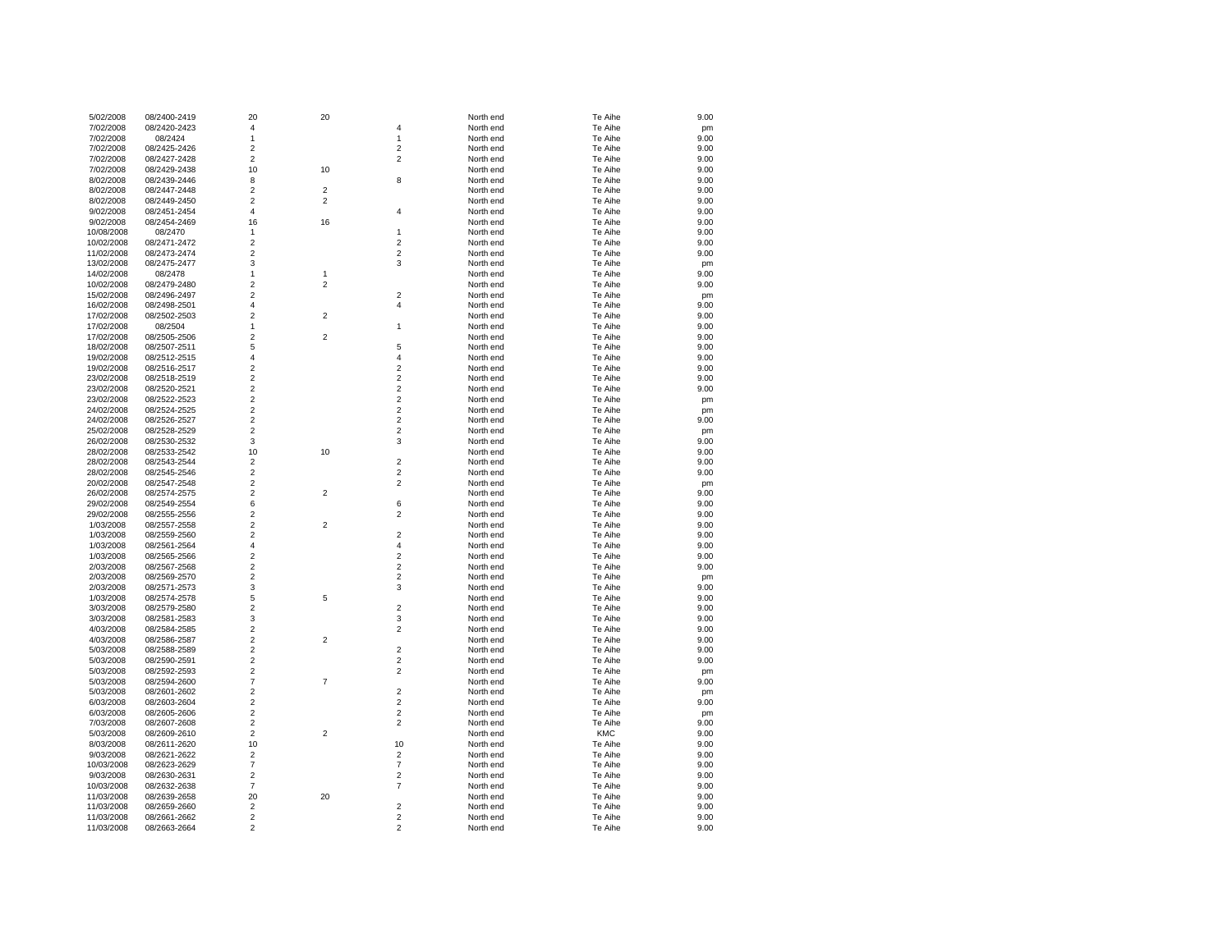| 5/02/2008  | 08/2400-2419 | 20                      | 20                      |                         | North end | Te Aihe    | 9.00 |
|------------|--------------|-------------------------|-------------------------|-------------------------|-----------|------------|------|
| 7/02/2008  | 08/2420-2423 | 4                       |                         | 4                       | North end | Te Aihe    | pm   |
| 7/02/2008  | 08/2424      | $\mathbf{1}$            |                         | $\mathbf{1}$            | North end | Te Aihe    | 9.00 |
| 7/02/2008  | 08/2425-2426 | $\overline{\mathbf{c}}$ |                         | $\boldsymbol{2}$        | North end | Te Aihe    | 9.00 |
| 7/02/2008  | 08/2427-2428 | $\overline{\mathbf{c}}$ |                         | $\overline{\mathbf{c}}$ | North end | Te Aihe    | 9.00 |
| 7/02/2008  | 08/2429-2438 | 10                      | 10                      |                         | North end | Te Aihe    | 9.00 |
| 8/02/2008  | 08/2439-2446 | 8                       |                         | 8                       | North end | Te Aihe    | 9.00 |
| 8/02/2008  | 08/2447-2448 | $\overline{\mathbf{c}}$ | 2                       |                         | North end | Te Aihe    | 9.00 |
| 8/02/2008  | 08/2449-2450 | $\overline{\mathbf{c}}$ | 2                       |                         | North end | Te Aihe    | 9.00 |
| 9/02/2008  | 08/2451-2454 | 4                       |                         | 4                       | North end | Te Aihe    | 9.00 |
| 9/02/2008  | 08/2454-2469 | 16                      | 16                      |                         | North end | Te Aihe    | 9.00 |
| 10/08/2008 | 08/2470      | $\mathbf{1}$            |                         | 1                       | North end | Te Aihe    | 9.00 |
| 10/02/2008 | 08/2471-2472 | $\overline{2}$          |                         | $\overline{c}$          | North end | Te Aihe    | 9.00 |
| 11/02/2008 | 08/2473-2474 | $\overline{2}$          |                         | $\overline{\mathbf{c}}$ | North end | Te Aihe    | 9.00 |
| 13/02/2008 | 08/2475-2477 | 3                       |                         | 3                       | North end | Te Aihe    | pm   |
| 14/02/2008 | 08/2478      | $\mathbf{1}$            | 1                       |                         | North end | Te Aihe    | 9.00 |
| 10/02/2008 | 08/2479-2480 | $\overline{c}$          | 2                       |                         | North end | Te Aihe    | 9.00 |
| 15/02/2008 | 08/2496-2497 | $\overline{c}$          |                         | $\overline{c}$          | North end | Te Aihe    | pm   |
| 16/02/2008 | 08/2498-2501 | $\overline{4}$          |                         | 4                       | North end | Te Aihe    | 9.00 |
| 17/02/2008 | 08/2502-2503 | $\overline{2}$          | $\overline{\mathbf{c}}$ |                         | North end | Te Aihe    | 9.00 |
| 17/02/2008 | 08/2504      | 1                       |                         | 1                       | North end | Te Aihe    | 9.00 |
| 17/02/2008 | 08/2505-2506 | $\overline{2}$          | $\overline{\mathbf{c}}$ |                         | North end | Te Aihe    | 9.00 |
| 18/02/2008 | 08/2507-2511 | 5                       |                         | 5                       | North end | Te Aihe    | 9.00 |
| 19/02/2008 | 08/2512-2515 | $\overline{4}$          |                         | 4                       | North end | Te Aihe    | 9.00 |
| 19/02/2008 | 08/2516-2517 | $\overline{2}$          |                         | $\overline{c}$          | North end | Te Aihe    | 9.00 |
| 23/02/2008 | 08/2518-2519 | $\overline{c}$          |                         | $\overline{c}$          | North end | Te Aihe    | 9.00 |
| 23/02/2008 | 08/2520-2521 | $\overline{2}$          |                         | $\boldsymbol{2}$        | North end | Te Aihe    | 9.00 |
| 23/02/2008 | 08/2522-2523 | $\overline{2}$          |                         | $\overline{c}$          | North end | Te Aihe    | pm   |
| 24/02/2008 | 08/2524-2525 | $\overline{\mathbf{c}}$ |                         | $\mathbf 2$             | North end | Te Aihe    | pm   |
| 24/02/2008 | 08/2526-2527 | $\overline{2}$          |                         | $\overline{2}$          | North end | Te Aihe    | 9.00 |
| 25/02/2008 | 08/2528-2529 | $\overline{2}$          |                         | $\overline{2}$          | North end | Te Aihe    | pm   |
| 26/02/2008 | 08/2530-2532 | 3                       |                         | 3                       | North end | Te Aihe    | 9.00 |
| 28/02/2008 | 08/2533-2542 | 10                      | 10                      |                         | North end | Te Aihe    | 9.00 |
| 28/02/2008 | 08/2543-2544 | $\overline{\mathbf{c}}$ |                         | $\overline{c}$          | North end | Te Aihe    | 9.00 |
| 28/02/2008 | 08/2545-2546 | $\overline{c}$          |                         | $\overline{c}$          | North end | Te Aihe    | 9.00 |
| 20/02/2008 | 08/2547-2548 | $\overline{2}$          |                         | $\overline{c}$          | North end | Te Aihe    | pm   |
| 26/02/2008 | 08/2574-2575 | $\overline{2}$          | 2                       |                         | North end | Te Aihe    | 9.00 |
| 29/02/2008 | 08/2549-2554 | 6                       |                         | 6                       | North end | Te Aihe    | 9.00 |
| 29/02/2008 | 08/2555-2556 | $\overline{c}$          |                         | $\overline{2}$          | North end | Te Aihe    | 9.00 |
| 1/03/2008  | 08/2557-2558 | $\overline{c}$          | 2                       |                         | North end | Te Aihe    | 9.00 |
| 1/03/2008  | 08/2559-2560 | $\overline{2}$          |                         | $\overline{2}$          | North end | Te Aihe    | 9.00 |
| 1/03/2008  | 08/2561-2564 | 4                       |                         | 4                       | North end | Te Aihe    | 9.00 |
| 1/03/2008  | 08/2565-2566 | $\overline{2}$          |                         | $\overline{c}$          | North end | Te Aihe    | 9.00 |
| 2/03/2008  | 08/2567-2568 | $\overline{c}$          |                         | $\overline{\mathbf{c}}$ | North end | Te Aihe    | 9.00 |
| 2/03/2008  | 08/2569-2570 | $\overline{c}$          |                         | $\overline{2}$          | North end | Te Aihe    | pm   |
| 2/03/2008  | 08/2571-2573 | 3                       |                         | 3                       | North end | Te Aihe    | 9.00 |
| 1/03/2008  | 08/2574-2578 | 5                       | 5                       |                         | North end | Te Aihe    | 9.00 |
| 3/03/2008  | 08/2579-2580 | $\overline{c}$          |                         | $\overline{c}$          | North end | Te Aihe    | 9.00 |
| 3/03/2008  | 08/2581-2583 | 3                       |                         | 3                       | North end | Te Aihe    | 9.00 |
| 4/03/2008  | 08/2584-2585 | $\overline{c}$          |                         | $\overline{\mathbf{c}}$ | North end | Te Aihe    | 9.00 |
| 4/03/2008  | 08/2586-2587 | $\overline{\mathbf{c}}$ | $\overline{c}$          |                         | North end | Te Aihe    | 9.00 |
| 5/03/2008  | 08/2588-2589 | $\overline{\mathbf{c}}$ |                         | $\overline{c}$          | North end | Te Aihe    | 9.00 |
| 5/03/2008  | 08/2590-2591 | $\overline{2}$          |                         | $\overline{2}$          | North end | Te Aihe    | 9.00 |
| 5/03/2008  | 08/2592-2593 | $\overline{c}$          |                         | $\overline{2}$          | North end | Te Aihe    | pm   |
| 5/03/2008  | 08/2594-2600 | $\overline{7}$          | $\overline{7}$          |                         | North end | Te Aihe    | 9.00 |
| 5/03/2008  | 08/2601-2602 | $\overline{c}$          |                         | $\overline{2}$          | North end | Te Aihe    | pm   |
| 6/03/2008  | 08/2603-2604 | $\overline{c}$          |                         | $\overline{2}$          | North end | Te Aihe    | 9.00 |
| 6/03/2008  | 08/2605-2606 | $\overline{2}$          |                         | $\overline{\mathbf{c}}$ | North end | Te Aihe    | pm   |
| 7/03/2008  | 08/2607-2608 | $\overline{2}$          |                         | $\overline{c}$          | North end | Te Aihe    | 9.00 |
| 5/03/2008  | 08/2609-2610 | $\overline{2}$          | 2                       |                         | North end | <b>KMC</b> | 9.00 |
| 8/03/2008  | 08/2611-2620 | 10                      |                         | 10                      | North end | Te Aihe    | 9.00 |
| 9/03/2008  | 08/2621-2622 | $\overline{2}$          |                         | $\overline{2}$          | North end | Te Aihe    | 9.00 |
| 10/03/2008 | 08/2623-2629 | 7                       |                         | $\boldsymbol{7}$        | North end | Te Aihe    | 9.00 |
| 9/03/2008  | 08/2630-2631 | $\mathbf 2$             |                         | $\overline{\mathbf{c}}$ | North end | Te Aihe    | 9.00 |
| 10/03/2008 | 08/2632-2638 | $\overline{7}$          |                         | $\overline{7}$          | North end | Te Aihe    | 9.00 |
| 11/03/2008 | 08/2639-2658 | 20                      | 20                      |                         | North end | Te Aihe    | 9.00 |
| 11/03/2008 | 08/2659-2660 | $\overline{2}$          |                         | $\overline{c}$          | North end | Te Aihe    | 9.00 |
| 11/03/2008 | 08/2661-2662 | $\overline{2}$          |                         | $\overline{\mathbf{c}}$ | North end | Te Aihe    | 9.00 |
| 11/03/2008 | 08/2663-2664 | $\overline{2}$          |                         | $\overline{2}$          | North end | Te Aihe    | 9.00 |
|            |              |                         |                         |                         |           |            |      |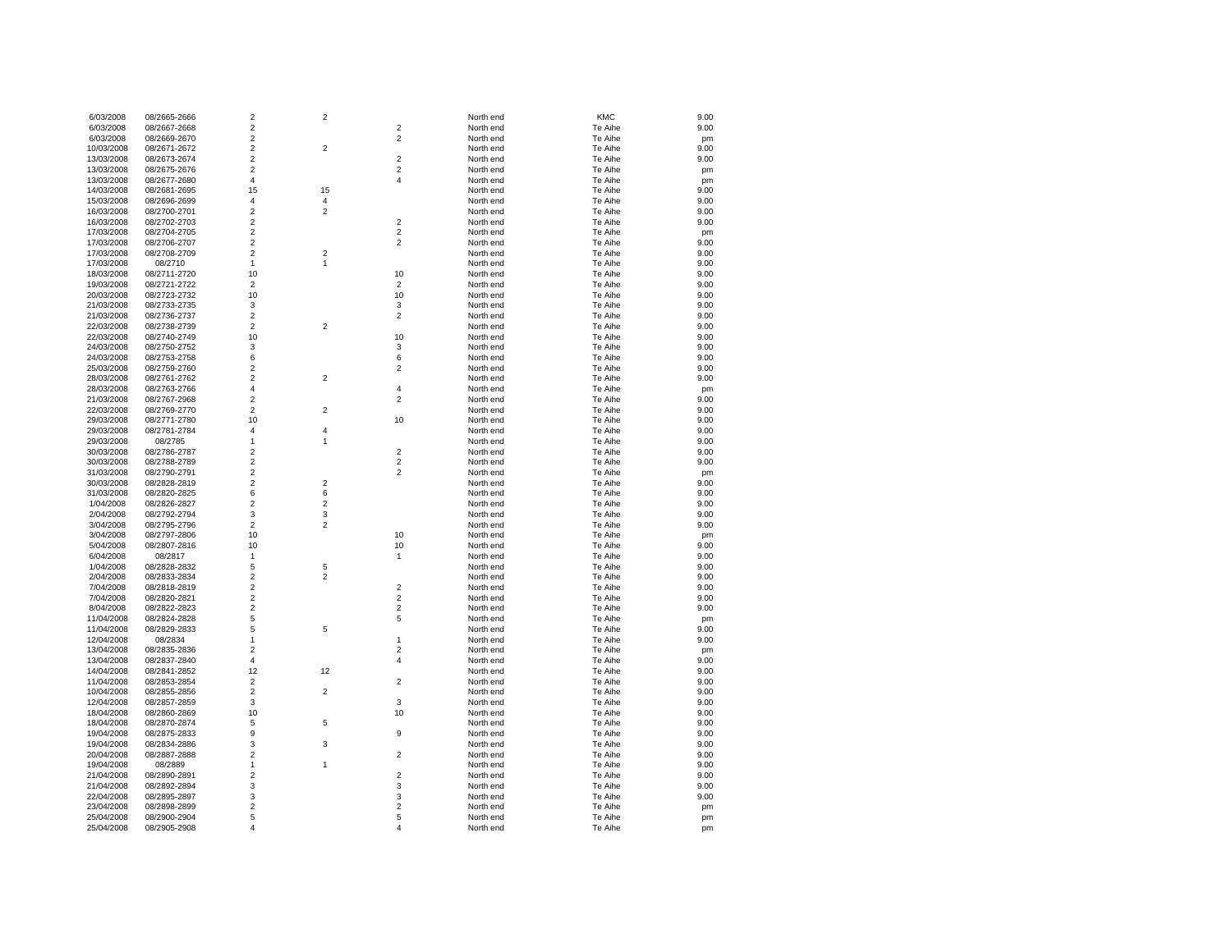| 6/03/2008  | 08/2665-2666 | $\overline{2}$          | 2                       |                         | North end | <b>KMC</b>         | 9.00       |
|------------|--------------|-------------------------|-------------------------|-------------------------|-----------|--------------------|------------|
| 6/03/2008  | 08/2667-2668 | $\overline{2}$          |                         | $\overline{c}$          | North end | Te Aihe            | 9.00       |
| 6/03/2008  | 08/2669-2670 | $\overline{2}$          |                         | $\overline{2}$          | North end | Te Aihe            | pm         |
| 10/03/2008 | 08/2671-2672 | $\mathbf 2$             | $\mathbf 2$             |                         | North end | Te Aihe            | 9.00       |
| 13/03/2008 | 08/2673-2674 | $\mathbf 2$             |                         | $\overline{\mathbf{c}}$ | North end | Te Aihe            | 9.00       |
| 13/03/2008 | 08/2675-2676 | $\overline{2}$          |                         | $\overline{c}$          | North end | Te Aihe            | pm         |
| 13/03/2008 | 08/2677-2680 | $\overline{4}$          |                         | $\overline{4}$          | North end | Te Aihe            | pm         |
| 14/03/2008 | 08/2681-2695 | 15                      | 15                      |                         | North end | Te Aihe            | 9.00       |
| 15/03/2008 | 08/2696-2699 | $\overline{4}$          | 4                       |                         | North end | Te Aihe            | 9.00       |
| 16/03/2008 | 08/2700-2701 | $\mathbf 2$             | $\overline{\mathbf{c}}$ |                         | North end | Te Aihe            | 9.00       |
| 16/03/2008 | 08/2702-2703 | $\overline{2}$          |                         | $\overline{c}$          | North end | Te Aihe            | 9.00       |
| 17/03/2008 | 08/2704-2705 | $\overline{2}$          |                         | $\overline{2}$          | North end | Te Aihe            | pm         |
| 17/03/2008 | 08/2706-2707 | $\overline{2}$          |                         | $\overline{2}$          | North end | Te Aihe            | 9.00       |
| 17/03/2008 | 08/2708-2709 | $\overline{2}$          | 2                       |                         | North end | Te Aihe            | 9.00       |
| 17/03/2008 | 08/2710      | $\mathbf{1}$            | $\mathbf{1}$            |                         | North end | Te Aihe            | 9.00       |
| 18/03/2008 | 08/2711-2720 | 10                      |                         | 10                      | North end | Te Aihe            | 9.00       |
| 19/03/2008 | 08/2721-2722 | $\overline{2}$          |                         | $\overline{2}$          | North end | Te Aihe            | 9.00       |
| 20/03/2008 | 08/2723-2732 | 10                      |                         | 10                      | North end | Te Aihe            | 9.00       |
| 21/03/2008 | 08/2733-2735 | 3                       |                         | 3                       | North end | Te Aihe            | 9.00       |
| 21/03/2008 | 08/2736-2737 | $\overline{2}$          |                         | $\overline{c}$          | North end | Te Aihe            | 9.00       |
| 22/03/2008 | 08/2738-2739 | $\overline{2}$          | $\overline{2}$          |                         | North end | Te Aihe            | 9.00       |
| 22/03/2008 | 08/2740-2749 | 10                      |                         | 10                      | North end | Te Aihe            | 9.00       |
| 24/03/2008 | 08/2750-2752 | 3                       |                         | 3                       | North end | Te Aihe            | 9.00       |
| 24/03/2008 | 08/2753-2758 | 6                       |                         | 6                       | North end | Te Aihe            | 9.00       |
| 25/03/2008 | 08/2759-2760 | $\overline{2}$          |                         | $\overline{c}$          | North end | Te Aihe            | 9.00       |
| 28/03/2008 | 08/2761-2762 | $\overline{2}$          | $\overline{c}$          |                         | North end | Te Aihe            | 9.00       |
| 28/03/2008 | 08/2763-2766 | $\overline{\mathbf{4}}$ |                         | $\overline{4}$          | North end | Te Aihe            |            |
| 21/03/2008 | 08/2767-2968 | $\overline{2}$          |                         | $\overline{2}$          |           | Te Aihe            | pm<br>9.00 |
|            |              | $\overline{2}$          | $\overline{c}$          |                         | North end |                    |            |
| 22/03/2008 | 08/2769-2770 | 10                      |                         | 10                      | North end | Te Aihe<br>Te Aihe | 9.00       |
| 29/03/2008 | 08/2771-2780 | $\overline{4}$          | 4                       |                         | North end |                    | 9.00       |
| 29/03/2008 | 08/2781-2784 |                         |                         |                         | North end | Te Aihe            | 9.00       |
| 29/03/2008 | 08/2785      | $\mathbf{1}$            | $\mathbf{1}$            |                         | North end | Te Aihe            | 9.00       |
| 30/03/2008 | 08/2786-2787 | $\overline{2}$          |                         | $\overline{2}$          | North end | Te Aihe            | 9.00       |
| 30/03/2008 | 08/2788-2789 | $\sqrt{2}$              |                         | $\overline{\mathbf{c}}$ | North end | Te Aihe            | 9.00       |
| 31/03/2008 | 08/2790-2791 | $\mathbf 2$             |                         | $\overline{2}$          | North end | Te Aihe            | pm         |
| 30/03/2008 | 08/2828-2819 | $\overline{2}$          | $\overline{2}$          |                         | North end | Te Aihe            | 9.00       |
| 31/03/2008 | 08/2820-2825 | 6                       | 6                       |                         | North end | Te Aihe            | 9.00       |
| 1/04/2008  | 08/2826-2827 | $\overline{2}$          | $\overline{\mathbf{c}}$ |                         | North end | Te Aihe            | 9.00       |
| 2/04/2008  | 08/2792-2794 | 3                       | 3                       |                         | North end | Te Aihe            | 9.00       |
| 3/04/2008  | 08/2795-2796 | $\mathbf 2$             | $\overline{\mathbf{c}}$ |                         | North end | Te Aihe            | 9.00       |
| 3/04/2008  | 08/2797-2806 | 10                      |                         | 10                      | North end | Te Aihe            | pm         |
| 5/04/2008  | 08/2807-2816 | 10                      |                         | 10                      | North end | Te Aihe            | 9.00       |
| 6/04/2008  | 08/2817      | $\overline{1}$          |                         | $\mathbf{1}$            | North end | Te Aihe            | 9.00       |
| 1/04/2008  | 08/2828-2832 | 5                       | 5                       |                         | North end | Te Aihe            | 9.00       |
| 2/04/2008  | 08/2833-2834 | $\overline{2}$          | $\overline{c}$          |                         | North end | Te Aihe            | 9.00       |
| 7/04/2008  | 08/2818-2819 | $\overline{2}$          |                         | $\overline{2}$          | North end | Te Aihe            | 9.00       |
| 7/04/2008  | 08/2820-2821 | $\overline{2}$          |                         | $\overline{2}$          | North end | Te Aihe            | 9.00       |
| 8/04/2008  | 08/2822-2823 | $\overline{2}$          |                         | $\overline{c}$          | North end | Te Aihe            | 9.00       |
| 11/04/2008 | 08/2824-2828 | 5                       |                         | 5                       | North end | Te Aihe            | pm         |
| 11/04/2008 | 08/2829-2833 | 5                       | 5                       |                         | North end | Te Aihe            | 9.00       |
| 12/04/2008 | 08/2834      | $\mathbf{1}$            |                         | 1                       | North end | Te Aihe            | 9.00       |
| 13/04/2008 | 08/2835-2836 | $\sqrt{2}$              |                         | $\overline{c}$          | North end | Te Aihe            | pm         |
| 13/04/2008 | 08/2837-2840 | $\overline{4}$          |                         | 4                       | North end | Te Aihe            | 9.00       |
| 14/04/2008 | 08/2841-2852 | 12                      | 12                      |                         | North end | Te Aihe            | 9.00       |
| 11/04/2008 | 08/2853-2854 | $\overline{2}$          |                         | $\overline{c}$          | North end | Te Aihe            | 9.00       |
| 10/04/2008 | 08/2855-2856 | $\overline{2}$          | $\overline{2}$          |                         | North end | Te Aihe            | 9.00       |
| 12/04/2008 | 08/2857-2859 | 3                       |                         | 3                       | North end | Te Aihe            | 9.00       |
| 18/04/2008 | 08/2860-2869 | 10                      |                         | 10                      | North end | Te Aihe            | 9.00       |
| 18/04/2008 | 08/2870-2874 | 5                       | 5                       |                         | North end | Te Aihe            | 9.00       |
| 19/04/2008 | 08/2875-2833 | 9                       |                         | 9                       | North end | Te Aihe            | 9.00       |
| 19/04/2008 | 08/2834-2886 | 3                       | 3                       |                         | North end | Te Aihe            | 9.00       |
| 20/04/2008 | 08/2887-2888 | $\overline{2}$          |                         | 2                       | North end | Te Aihe            | 9.00       |
| 19/04/2008 | 08/2889      | $\mathbf{1}$            | $\mathbf{1}$            |                         | North end | Te Aihe            | 9.00       |
| 21/04/2008 | 08/2890-2891 | $\overline{2}$          |                         | $\overline{c}$          | North end | Te Aihe            | 9.00       |
| 21/04/2008 | 08/2892-2894 | $\mathsf 3$             |                         | 3                       | North end | Te Aihe            | 9.00       |
| 22/04/2008 | 08/2895-2897 | 3                       |                         | 3                       | North end | Te Aihe            | 9.00       |
| 23/04/2008 | 08/2898-2899 | $\overline{c}$          |                         | $\overline{2}$          | North end | Te Aihe            | pm         |
| 25/04/2008 | 08/2900-2904 | 5                       |                         | 5                       | North end | Te Aihe            | pm         |
| 25/04/2008 | 08/2905-2908 | 4                       |                         | 4                       | North end | Te Aihe            | pm         |
|            |              |                         |                         |                         |           |                    |            |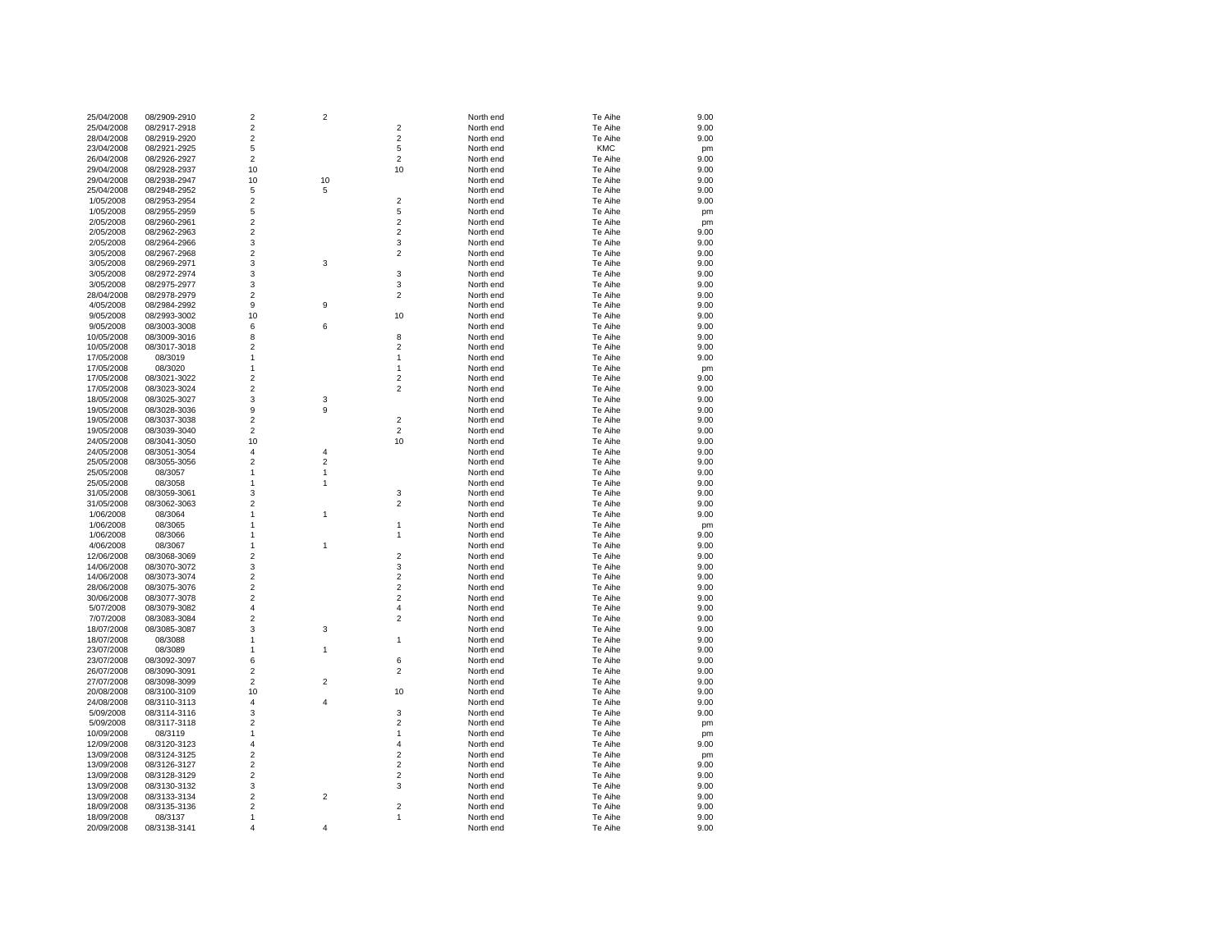| 25/04/2008 | 08/2909-2910 | $\boldsymbol{2}$        | $\boldsymbol{2}$        |                         | North end | Te Aihe    | 9.00 |
|------------|--------------|-------------------------|-------------------------|-------------------------|-----------|------------|------|
| 25/04/2008 | 08/2917-2918 | $\overline{\mathbf{c}}$ |                         | $\overline{2}$          | North end | Te Aihe    | 9.00 |
| 28/04/2008 | 08/2919-2920 | 2                       |                         | $\overline{2}$          | North end | Te Aihe    | 9.00 |
| 23/04/2008 | 08/2921-2925 | 5                       |                         | 5                       | North end | <b>KMC</b> | pm   |
| 26/04/2008 | 08/2926-2927 | $\overline{2}$          |                         | $\overline{2}$          | North end | Te Aihe    | 9.00 |
| 29/04/2008 | 08/2928-2937 | 10                      |                         | 10                      | North end | Te Aihe    | 9.00 |
| 29/04/2008 | 08/2938-2947 | 10                      | 10                      |                         | North end | Te Aihe    | 9.00 |
| 25/04/2008 | 08/2948-2952 | 5                       | 5                       |                         | North end | Te Aihe    | 9.00 |
| 1/05/2008  | 08/2953-2954 | 2                       |                         | $\overline{2}$          | North end | Te Aihe    | 9.00 |
| 1/05/2008  | 08/2955-2959 | 5                       |                         | 5                       | North end | Te Aihe    | pm   |
| 2/05/2008  | 08/2960-2961 | 2                       |                         | $\overline{2}$          | North end | Te Aihe    | pm   |
| 2/05/2008  | 08/2962-2963 | $\overline{2}$          |                         | $\overline{2}$          | North end | Te Aihe    | 9.00 |
| 2/05/2008  | 08/2964-2966 | 3                       |                         | 3                       | North end | Te Aihe    | 9.00 |
| 3/05/2008  | 08/2967-2968 | 2                       |                         | $\overline{2}$          | North end | Te Aihe    | 9.00 |
| 3/05/2008  | 08/2969-2971 | 3                       | 3                       |                         | North end | Te Aihe    | 9.00 |
| 3/05/2008  | 08/2972-2974 | 3                       |                         | $\mathsf 3$             | North end | Te Aihe    | 9.00 |
| 3/05/2008  | 08/2975-2977 | 3                       |                         | 3                       | North end | Te Aihe    | 9.00 |
| 28/04/2008 | 08/2978-2979 | 2                       |                         | $\overline{2}$          | North end | Te Aihe    | 9.00 |
| 4/05/2008  | 08/2984-2992 | 9                       | 9                       |                         | North end | Te Aihe    | 9.00 |
| 9/05/2008  | 08/2993-3002 | 10                      |                         | 10                      | North end | Te Aihe    | 9.00 |
| 9/05/2008  | 08/3003-3008 | 6                       | 6                       |                         | North end | Te Aihe    | 9.00 |
| 10/05/2008 | 08/3009-3016 | 8                       |                         | 8                       | North end | Te Aihe    | 9.00 |
| 10/05/2008 | 08/3017-3018 | 2                       |                         | $\overline{2}$          | North end | Te Aihe    | 9.00 |
| 17/05/2008 | 08/3019      | 1                       |                         | $\mathbf{1}$            | North end | Te Aihe    | 9.00 |
| 17/05/2008 | 08/3020      | 1                       |                         | 1                       | North end | Te Aihe    | pm   |
| 17/05/2008 | 08/3021-3022 | 2                       |                         | $\overline{2}$          | North end | Te Aihe    | 9.00 |
| 17/05/2008 | 08/3023-3024 | $\overline{c}$          |                         | $\overline{2}$          | North end | Te Aihe    | 9.00 |
| 18/05/2008 | 08/3025-3027 | 3                       | 3                       |                         | North end | Te Aihe    | 9.00 |
| 19/05/2008 | 08/3028-3036 | 9                       | 9                       |                         | North end | Te Aihe    | 9.00 |
| 19/05/2008 | 08/3037-3038 | $\overline{2}$          |                         | $\overline{2}$          | North end | Te Aihe    | 9.00 |
| 19/05/2008 | 08/3039-3040 | $\overline{c}$          |                         | $\overline{2}$          | North end | Te Aihe    | 9.00 |
| 24/05/2008 | 08/3041-3050 | 10                      |                         | 10                      | North end | Te Aihe    | 9.00 |
| 24/05/2008 | 08/3051-3054 | 4                       | $\overline{4}$          |                         | North end | Te Aihe    | 9.00 |
| 25/05/2008 | 08/3055-3056 | $\overline{\mathbf{c}}$ | $\overline{\mathbf{c}}$ |                         | North end | Te Aihe    | 9.00 |
| 25/05/2008 | 08/3057      | 1                       | 1                       |                         | North end | Te Aihe    | 9.00 |
| 25/05/2008 | 08/3058      | 1                       | 1                       |                         | North end | Te Aihe    | 9.00 |
| 31/05/2008 | 08/3059-3061 | 3                       |                         | 3                       | North end | Te Aihe    | 9.00 |
| 31/05/2008 | 08/3062-3063 | 2                       |                         | $\overline{2}$          | North end | Te Aihe    | 9.00 |
| 1/06/2008  | 08/3064      | 1                       | $\mathbf{1}$            |                         | North end | Te Aihe    | 9.00 |
| 1/06/2008  | 08/3065      | 1                       |                         | 1                       | North end | Te Aihe    | pm   |
| 1/06/2008  | 08/3066      | 1                       |                         | 1                       | North end | Te Aihe    | 9.00 |
| 4/06/2008  | 08/3067      | 1                       | $\mathbf{1}$            |                         | North end | Te Aihe    | 9.00 |
| 12/06/2008 | 08/3068-3069 | $\overline{c}$          |                         | $\overline{2}$          | North end | Te Aihe    | 9.00 |
| 14/06/2008 | 08/3070-3072 | 3                       |                         | 3                       | North end | Te Aihe    | 9.00 |
| 14/06/2008 | 08/3073-3074 | 2                       |                         | $\overline{2}$          | North end | Te Aihe    | 9.00 |
| 28/06/2008 | 08/3075-3076 | 2                       |                         | $\overline{2}$          | North end | Te Aihe    | 9.00 |
| 30/06/2008 | 08/3077-3078 | 2                       |                         | $\overline{2}$          | North end | Te Aihe    | 9.00 |
| 5/07/2008  | 08/3079-3082 | 4                       |                         | $\overline{4}$          | North end | Te Aihe    | 9.00 |
| 7/07/2008  | 08/3083-3084 | 2                       |                         | $\overline{2}$          | North end | Te Aihe    | 9.00 |
| 18/07/2008 | 08/3085-3087 | 3                       | 3                       |                         | North end | Te Aihe    | 9.00 |
| 18/07/2008 | 08/3088      | 1                       |                         | $\mathbf{1}$            | North end | Te Aihe    | 9.00 |
| 23/07/2008 | 08/3089      | 1                       | 1                       |                         | North end | Te Aihe    | 9.00 |
| 23/07/2008 | 08/3092-3097 | 6                       |                         | 6                       | North end | Te Aihe    | 9.00 |
| 26/07/2008 | 08/3090-3091 | $\overline{2}$          |                         | $\overline{2}$          | North end | Te Aihe    | 9.00 |
| 27/07/2008 | 08/3098-3099 | $\overline{c}$          | $\overline{c}$          |                         | North end | Te Aihe    | 9.00 |
| 20/08/2008 | 08/3100-3109 | 10                      |                         | 10                      | North end | Te Aihe    | 9.00 |
| 24/08/2008 | 08/3110-3113 | 4                       | 4                       |                         | North end | Te Aihe    | 9.00 |
| 5/09/2008  | 08/3114-3116 | 3                       |                         | 3                       | North end | Te Aihe    | 9.00 |
| 5/09/2008  | 08/3117-3118 | 2                       |                         | $\overline{2}$          | North end | Te Aihe    | pm   |
| 10/09/2008 | 08/3119      | 1                       |                         | $\mathbf{1}$            | North end | Te Aihe    | pm   |
| 12/09/2008 | 08/3120-3123 | 4                       |                         | $\overline{\mathbf{4}}$ | North end | Te Aihe    | 9.00 |
| 13/09/2008 | 08/3124-3125 | $\overline{2}$          |                         | $\overline{2}$          | North end | Te Aihe    | pm   |
| 13/09/2008 | 08/3126-3127 | $\overline{\mathbf{c}}$ |                         | $\boldsymbol{2}$        | North end | Te Aihe    | 9.00 |
| 13/09/2008 | 08/3128-3129 | $\mathbf 2$             |                         | $\mathbf 2$             | North end | Te Aihe    | 9.00 |
| 13/09/2008 | 08/3130-3132 | 3                       |                         | 3                       | North end | Te Aihe    | 9.00 |
| 13/09/2008 | 08/3133-3134 | 2                       | $\overline{c}$          |                         | North end | Te Aihe    | 9.00 |
| 18/09/2008 | 08/3135-3136 | 2                       |                         | $\overline{2}$          | North end | Te Aihe    | 9.00 |
| 18/09/2008 | 08/3137      | 1                       |                         | 1                       | North end | Te Aihe    | 9.00 |
| 20/09/2008 | 08/3138-3141 | 4                       | $\Delta$                |                         | North end | Te Aihe    | 9.00 |
|            |              |                         |                         |                         |           |            |      |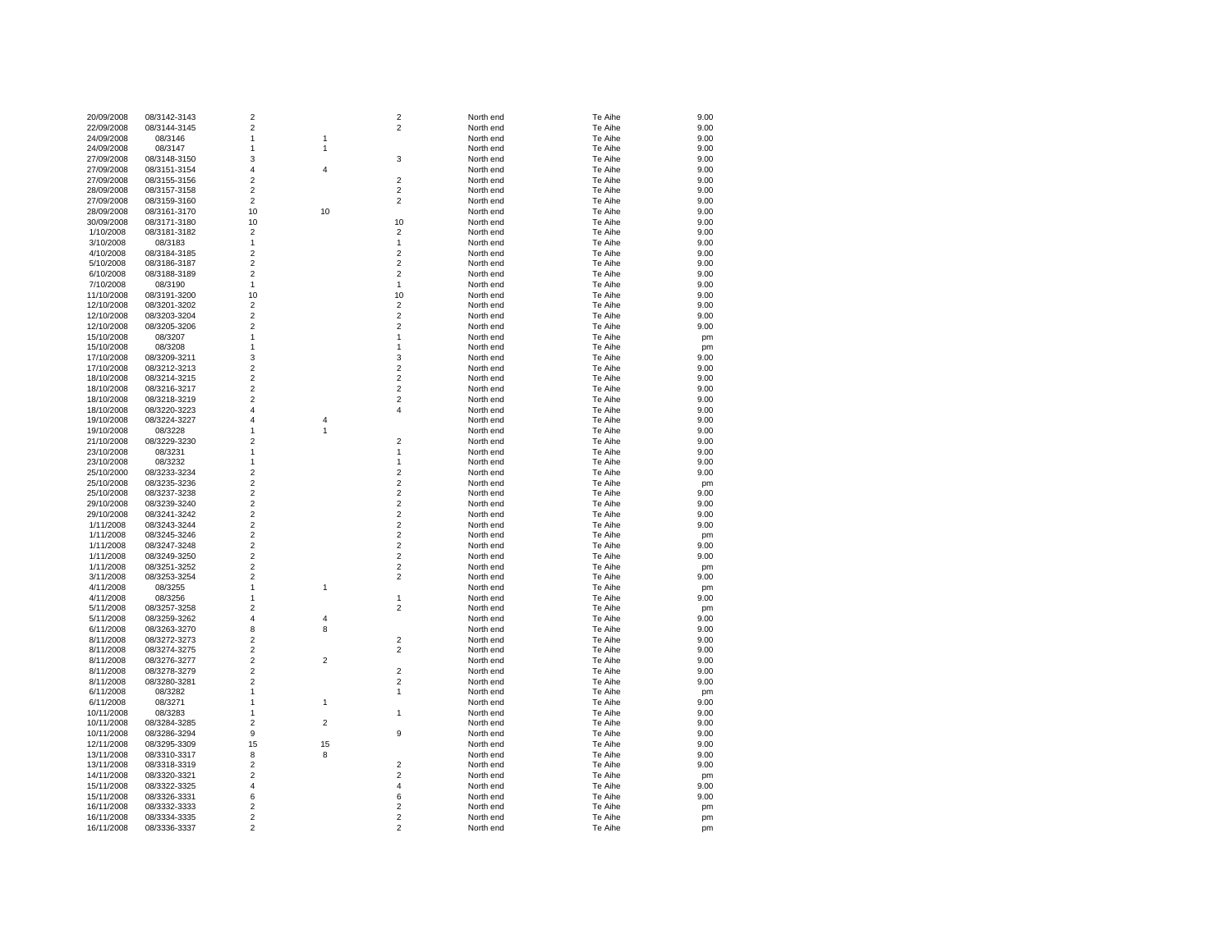| 20/09/2008 | 08/3142-3143 | $\overline{2}$          |                | $\overline{2}$ | North end | Te Aihe | 9.00 |
|------------|--------------|-------------------------|----------------|----------------|-----------|---------|------|
| 22/09/2008 | 08/3144-3145 | $\overline{2}$          |                | $\overline{2}$ | North end | Te Aihe | 9.00 |
| 24/09/2008 | 08/3146      | $\mathbf{1}$            | 1              |                | North end | Te Aihe | 9.00 |
| 24/09/2008 | 08/3147      | 1                       | 1              |                | North end | Te Aihe | 9.00 |
| 27/09/2008 | 08/3148-3150 | 3                       |                | 3              | North end | Te Aihe | 9.00 |
| 27/09/2008 | 08/3151-3154 | 4                       | 4              |                | North end | Te Aihe | 9.00 |
| 27/09/2008 | 08/3155-3156 | $\overline{2}$          |                | $\overline{2}$ | North end | Te Aihe | 9.00 |
| 28/09/2008 | 08/3157-3158 | $\overline{2}$          |                | $\overline{2}$ | North end | Te Aihe | 9.00 |
| 27/09/2008 | 08/3159-3160 | 2                       |                | $\overline{2}$ | North end | Te Aihe | 9.00 |
| 28/09/2008 | 08/3161-3170 | 10                      | 10             |                | North end | Te Aihe | 9.00 |
| 30/09/2008 | 08/3171-3180 | 10                      |                | 10             | North end | Te Aihe | 9.00 |
| 1/10/2008  | 08/3181-3182 | $\overline{2}$          |                | $\overline{2}$ | North end | Te Aihe | 9.00 |
| 3/10/2008  | 08/3183      | $\mathbf{1}$            |                | $\mathbf{1}$   | North end | Te Aihe | 9.00 |
| 4/10/2008  | 08/3184-3185 | $\overline{\mathbf{c}}$ |                | $\overline{2}$ | North end | Te Aihe | 9.00 |
| 5/10/2008  | 08/3186-3187 | $\overline{\mathbf{c}}$ |                | $\overline{2}$ | North end | Te Aihe | 9.00 |
| 6/10/2008  | 08/3188-3189 | $\overline{2}$          |                | $\overline{2}$ | North end | Te Aihe | 9.00 |
| 7/10/2008  | 08/3190      | 1                       |                | 1              | North end | Te Aihe | 9.00 |
| 11/10/2008 | 08/3191-3200 | 10                      |                | 10             | North end | Te Aihe | 9.00 |
| 12/10/2008 | 08/3201-3202 | $\overline{\mathbf{c}}$ |                | $\overline{2}$ | North end | Te Aihe | 9.00 |
| 12/10/2008 | 08/3203-3204 | $\overline{2}$          |                | $\overline{2}$ | North end | Te Aihe | 9.00 |
| 12/10/2008 | 08/3205-3206 | $\overline{2}$          |                | $\overline{2}$ | North end | Te Aihe | 9.00 |
| 15/10/2008 | 08/3207      | 1                       |                | 1              | North end | Te Aihe | pm   |
| 15/10/2008 | 08/3208      | 1                       |                | 1              | North end | Te Aihe | pm   |
| 17/10/2008 | 08/3209-3211 | 3                       |                | 3              | North end | Te Aihe | 9.00 |
| 17/10/2008 | 08/3212-3213 | $\overline{\mathbf{c}}$ |                | $\overline{2}$ | North end | Te Aihe | 9.00 |
| 18/10/2008 | 08/3214-3215 | $\overline{2}$          |                | $\overline{2}$ | North end | Te Aihe | 9.00 |
| 18/10/2008 | 08/3216-3217 | $\overline{\mathbf{c}}$ |                | $\overline{2}$ | North end | Te Aihe | 9.00 |
| 18/10/2008 | 08/3218-3219 | $\overline{\mathbf{c}}$ |                | $\overline{c}$ | North end | Te Aihe | 9.00 |
| 18/10/2008 | 08/3220-3223 | 4                       |                | $\overline{4}$ | North end | Te Aihe | 9.00 |
| 19/10/2008 | 08/3224-3227 | 4                       | 4              |                | North end | Te Aihe | 9.00 |
| 19/10/2008 | 08/3228      | $\mathbf{1}$            | $\mathbf{1}$   |                | North end | Te Aihe | 9.00 |
| 21/10/2008 | 08/3229-3230 | $\overline{2}$          |                | $\overline{2}$ | North end | Te Aihe | 9.00 |
| 23/10/2008 | 08/3231      | $\mathbf{1}$            |                | $\mathbf{1}$   | North end | Te Aihe | 9.00 |
| 23/10/2008 | 08/3232      | $\mathbf{1}$            |                | $\mathbf{1}$   | North end | Te Aihe | 9.00 |
| 25/10/2000 | 08/3233-3234 | $\overline{\mathbf{c}}$ |                | $\overline{2}$ | North end | Te Aihe | 9.00 |
| 25/10/2008 | 08/3235-3236 | $\overline{\mathbf{c}}$ |                | $\overline{2}$ | North end | Te Aihe | pm   |
| 25/10/2008 | 08/3237-3238 | $\overline{2}$          |                | $\overline{2}$ | North end | Te Aihe | 9.00 |
| 29/10/2008 | 08/3239-3240 | $\overline{\mathbf{c}}$ |                | $\overline{2}$ | North end | Te Aihe | 9.00 |
| 29/10/2008 | 08/3241-3242 | $\overline{\mathbf{c}}$ |                | $\overline{2}$ | North end | Te Aihe | 9.00 |
| 1/11/2008  | 08/3243-3244 | $\overline{\mathbf{c}}$ |                | $\overline{2}$ | North end | Te Aihe | 9.00 |
| 1/11/2008  | 08/3245-3246 | $\overline{\mathbf{c}}$ |                | $\overline{c}$ | North end | Te Aihe | pm   |
| 1/11/2008  | 08/3247-3248 | $\overline{\mathbf{c}}$ |                | $\overline{c}$ | North end | Te Aihe | 9.00 |
| 1/11/2008  | 08/3249-3250 | $\overline{\mathbf{c}}$ |                | $\overline{2}$ | North end | Te Aihe | 9.00 |
| 1/11/2008  | 08/3251-3252 | $\overline{2}$          |                | $\overline{2}$ | North end | Te Aihe | pm   |
| 3/11/2008  | 08/3253-3254 | $\overline{2}$          |                | $\overline{2}$ | North end | Te Aihe | 9.00 |
| 4/11/2008  | 08/3255      | $\mathbf{1}$            | 1              |                | North end | Te Aihe | pm   |
| 4/11/2008  | 08/3256      | 1                       |                | 1              | North end | Te Aihe | 9.00 |
| 5/11/2008  | 08/3257-3258 | $\overline{\mathbf{c}}$ |                | $\overline{2}$ | North end | Te Aihe | pm   |
| 5/11/2008  | 08/3259-3262 | $\overline{4}$          | 4              |                | North end | Te Aihe | 9.00 |
| 6/11/2008  | 08/3263-3270 | 8                       | 8              |                | North end | Te Aihe | 9.00 |
| 8/11/2008  | 08/3272-3273 | 2                       |                | $\overline{2}$ | North end | Te Aihe | 9.00 |
| 8/11/2008  | 08/3274-3275 | $\overline{2}$          |                | $\overline{2}$ | North end | Te Aihe | 9.00 |
| 8/11/2008  | 08/3276-3277 | $\overline{2}$          | $\overline{2}$ |                | North end | Te Aihe | 9.00 |
| 8/11/2008  | 08/3278-3279 | $\overline{2}$          |                | $\overline{2}$ | North end | Te Aihe | 9.00 |
| 8/11/2008  | 08/3280-3281 | $\overline{\mathbf{c}}$ |                | $\overline{2}$ | North end | Te Aihe | 9.00 |
| 6/11/2008  | 08/3282      | $\mathbf{1}$            |                | $\mathbf{1}$   | North end | Te Aihe | pm   |
| 6/11/2008  | 08/3271      | 1                       | 1              |                | North end | Te Aihe | 9.00 |
| 10/11/2008 | 08/3283      | 1                       |                | 1              | North end | Te Aihe | 9.00 |
| 10/11/2008 | 08/3284-3285 | $\overline{2}$          | $\overline{2}$ |                | North end | Te Aihe | 9.00 |
| 10/11/2008 | 08/3286-3294 | 9                       |                | 9              | North end | Te Aihe | 9.00 |
| 12/11/2008 | 08/3295-3309 | 15                      | 15             |                | North end | Te Aihe | 9.00 |
| 13/11/2008 | 08/3310-3317 | 8                       | 8              |                | North end | Te Aihe | 9.00 |
| 13/11/2008 | 08/3318-3319 | $\overline{2}$          |                | $\overline{2}$ | North end | Te Aihe | 9.00 |
| 14/11/2008 | 08/3320-3321 | $\overline{2}$          |                | $\overline{2}$ | North end | Te Aihe | pm   |
| 15/11/2008 | 08/3322-3325 | 4                       |                | $\overline{4}$ | North end | Te Aihe | 9.00 |
| 15/11/2008 | 08/3326-3331 | 6                       |                | 6              | North end | Te Aihe | 9.00 |
| 16/11/2008 | 08/3332-3333 | 2                       |                | $\overline{2}$ | North end | Te Aihe | pm   |
| 16/11/2008 | 08/3334-3335 | $\overline{2}$          |                | $\overline{2}$ | North end | Te Aihe | pm   |
| 16/11/2008 | 08/3336-3337 | $\overline{2}$          |                | $\overline{2}$ | North end | Te Aihe | pm   |
|            |              |                         |                |                |           |         |      |